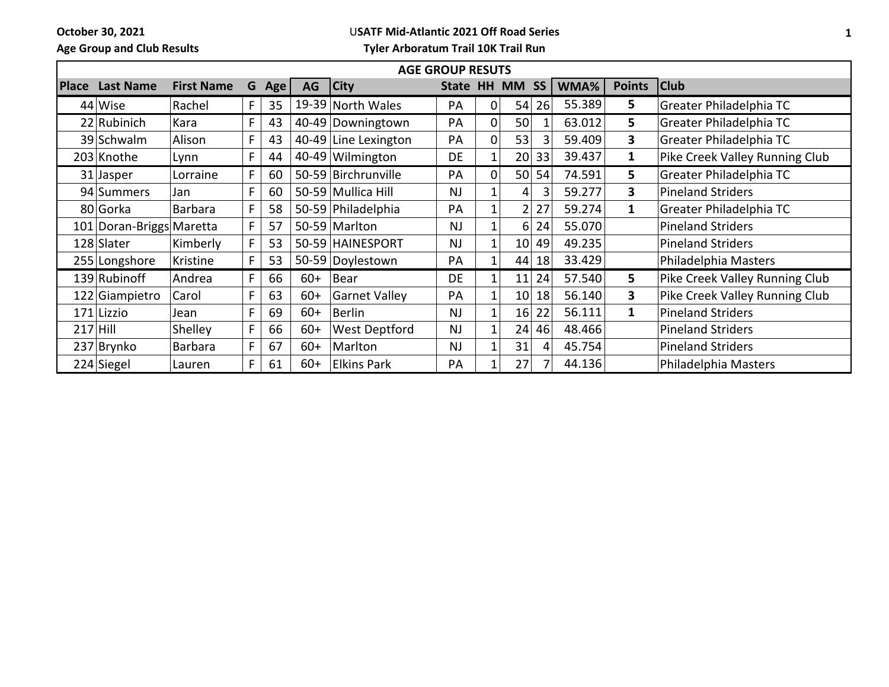**October 30, 2021 Age Group and Club Results**

## U**SATF Mid-Atlantic 2021 Off Road Series**

**Tyler Arboratum Trail 10K Trail Run**

| <b>AGE GROUP RESUTS</b> |                          |                   |    |     |       |                      |             |                |                 |           |        |               |                                |
|-------------------------|--------------------------|-------------------|----|-----|-------|----------------------|-------------|----------------|-----------------|-----------|--------|---------------|--------------------------------|
| <b>Place</b>            | <b>Last Name</b>         | <b>First Name</b> | G  | Age | AG    | <b>City</b>          | State HH MM |                |                 | <b>SS</b> | WMA%   | <b>Points</b> | <b>Club</b>                    |
|                         | 44 Wise                  | Rachel            | F. | 35  |       | 19-39 North Wales    | PA          | 01             | 54              | 26        | 55.389 | 5             | Greater Philadelphia TC        |
|                         | 22 Rubinich              | Kara              | F. | 43  |       | 40-49 Downingtown    | <b>PA</b>   | 01             | 50              |           | 63.012 | 5             | Greater Philadelphia TC        |
|                         | 39 Schwalm               | Alison            | F  | 43  |       | 40-49 Line Lexington | PA          | Ωl             | 53              | 3         | 59.409 | 3             | Greater Philadelphia TC        |
|                         | 203 Knothe               | Lynn              | F  | 44  |       | $40-49$ Wilmington   | DE          | 1              | 20 <sup>2</sup> | 33        | 39.437 | 1             | Pike Creek Valley Running Club |
|                         | 31 Jasper                | Lorraine          | F. | 60  |       | 50-59 Birchrunville  | PA          | 01             | 50              | 54        | 74.591 | 5             | Greater Philadelphia TC        |
|                         | 94 Summers               | Jan               | F  | 60  |       | 50-59 Mullica Hill   | NJ          |                | $\vert 4 \vert$ |           | 59.277 | 3             | <b>Pineland Striders</b>       |
|                         | 80 Gorka                 | Barbara           | F. | 58  |       | 50-59 Philadelphia   | PA          |                | $\overline{2}$  | 27        | 59.274 | $\mathbf{1}$  | Greater Philadelphia TC        |
|                         | 101 Doran-Briggs Maretta |                   | F. | 57  |       | 50-59 Marlton        | <b>NJ</b>   |                | 6               | 24        | 55.070 |               | <b>Pineland Striders</b>       |
|                         | 128 Slater               | Kimberly          | F  | 53  |       | 50-59 HAINESPORT     | <b>NJ</b>   |                | 10              | 49        | 49.235 |               | <b>Pineland Striders</b>       |
|                         | 255 Longshore            | Kristine          | F. | 53  |       | 50-59 Doylestown     | PA          |                | 44              | 18        | 33.429 |               | Philadelphia Masters           |
|                         | 139 Rubinoff             | Andrea            | F  | 66  | $60+$ | Bear                 | <b>DE</b>   | $\mathbf{1}$   | 11              | 24        | 57.540 | 5             | Pike Creek Valley Running Club |
|                         | 122 Giampietro           | Carol             | F  | 63  | $60+$ | Garnet Valley        | PA          |                | 10              | 18        | 56.140 | 3             | Pike Creek Valley Running Club |
|                         | 171 Lizzio               | Jean              | F. | 69  | $60+$ | Berlin               | NJ          |                | 16              | 22        | 56.111 | $\mathbf{1}$  | <b>Pineland Striders</b>       |
| $217$ Hill              |                          | <b>Shelley</b>    | F  | 66  | $60+$ | <b>West Deptford</b> | NJ          |                | 24              | 46        | 48.466 |               | <b>Pineland Striders</b>       |
|                         | 237 Brynko               | Barbara           | F. | 67  | $60+$ | Marlton              | <b>NJ</b>   |                | 31              | 4         | 45.754 |               | <b>Pineland Striders</b>       |
|                         | 224 Siegel               | Lauren            | F  | 61  | $60+$ | <b>Elkins Park</b>   | PA          | 1 <sub>1</sub> | 27              |           | 44.136 |               | Philadelphia Masters           |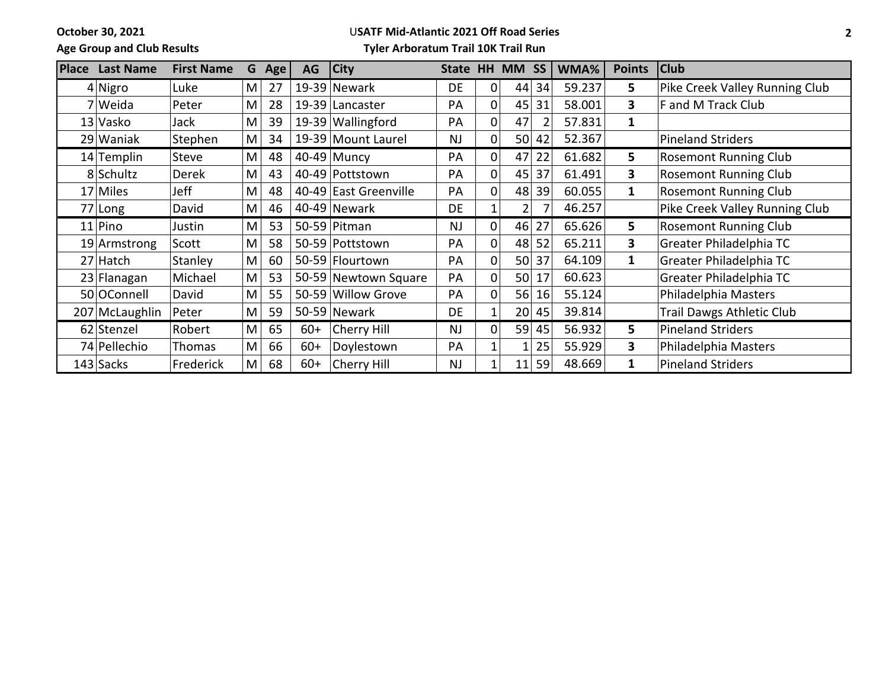**October 30, 2021**

## U**SATF Mid-Atlantic 2021 Off Road Series**

**Age Group and Club Results**

## **Tyler Arboratum Trail 10K Trail Run**

| <b>Place</b> | <b>Last Name</b> | <b>First Name</b> | G | Age | AG    | <b>City</b>           | <b>State</b> |                | HH MM SS        |       | WMA%   | <b>Points</b> | <b>Club</b>                      |
|--------------|------------------|-------------------|---|-----|-------|-----------------------|--------------|----------------|-----------------|-------|--------|---------------|----------------------------------|
|              | $4$ Nigro        | Luke              | M | 27  |       | $19-39$ Newark        | DE           | 0              | 44              | 34    | 59.237 | 5             | Pike Creek Valley Running Club   |
|              | 7 Weida          | Peter             | M | 28  |       | 19-39 Lancaster       | PA           | $\Omega$       | 45              | 31    | 58.001 | $\mathbf{3}$  | F and M Track Club               |
|              | 13 Vasko         | Jack              | M | 39  |       | 19-39 Wallingford     | PA           | 0              | 47              |       | 57.831 | 1             |                                  |
|              | 29 Waniak        | Stephen           | M | 34  |       | 19-39 Mount Laurel    | <b>NJ</b>    | 0              | 50 <sup>1</sup> | 42    | 52.367 |               | <b>Pineland Striders</b>         |
|              | 14 Templin       | Steve             | M | 48  |       | 40-49 Muncy           | PA           | 0              | 47              | 22    | 61.682 | 5             | <b>Rosemont Running Club</b>     |
|              | 8 Schultz        | Derek             | M | 43  |       | 40-49 Pottstown       | PA           | 0              | 45              | 37    | 61.491 | 3             | <b>Rosemont Running Club</b>     |
|              | 17 Miles         | Jeff              | M | 48  |       | 40-49 East Greenville | PA           | 0              | 48              | 39    | 60.055 | $\mathbf{1}$  | <b>Rosemont Running Club</b>     |
|              | 77 Long          | David             | M | 46  |       | 40-49 Newark          | <b>DE</b>    |                | $\mathsf{2}$    |       | 46.257 |               | Pike Creek Valley Running Club   |
|              | $11$  Pino       | Justin            | M | 53  |       | 50-59 Pitman          | <b>NJ</b>    | $\overline{0}$ | 46              | 27    | 65.626 | 5             | <b>Rosemont Running Club</b>     |
|              | 19 Armstrong     | Scott             | M | 58  |       | 50-59 Pottstown       | <b>PA</b>    | $\overline{0}$ | 48              | 52    | 65.211 | 3             | Greater Philadelphia TC          |
|              | $27$ Hatch       | Stanley           | M | 60  |       | 50-59 Flourtown       | PA           | 0              | 50              | 37    | 64.109 | $\mathbf{1}$  | Greater Philadelphia TC          |
|              | 23 Flanagan      | Michael           | M | 53  |       | 50-59 Newtown Square  | <b>PA</b>    | 0              | 50              | 17    | 60.623 |               | Greater Philadelphia TC          |
|              | 50 OConnell      | David             | M | 55  |       | 50-59 Willow Grove    | <b>PA</b>    | $\overline{0}$ | 56              | 16    | 55.124 |               | Philadelphia Masters             |
|              | 207 McLaughlin   | Peter             | M | 59  |       | 50-59 Newark          | DE           |                | 20 <sup>1</sup> | 45    | 39.814 |               | <b>Trail Dawgs Athletic Club</b> |
|              | 62 Stenzel       | Robert            | M | 65  | $60+$ | Cherry Hill           | <b>NJ</b>    | $\Omega$       |                 | 59 45 | 56.932 | 5.            | <b>Pineland Striders</b>         |
|              | 74 Pellechio     | Thomas            | M | 66  | $60+$ | Doylestown            | PA           |                |                 | 25    | 55.929 | 3             | Philadelphia Masters             |
|              | 143 Sacks        | Frederick         | M | 68  | $60+$ | Cherry Hill           | <b>NJ</b>    |                | 11              | 59    | 48.669 | 1             | <b>Pineland Striders</b>         |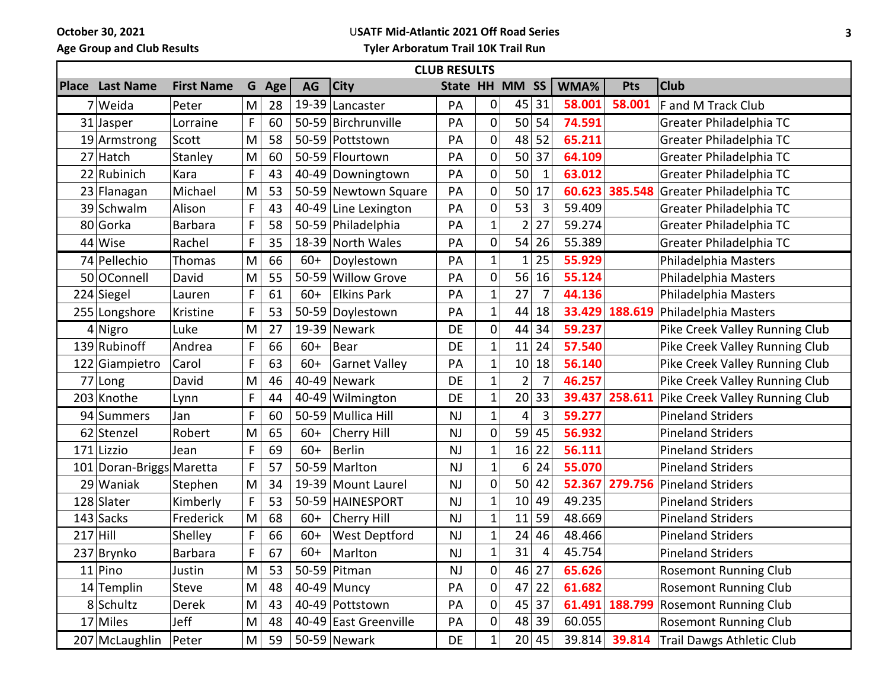**October 30, 2021 Age Group and Club Results**

## U**SATF Mid-Atlantic 2021 Off Road Series**

**Tyler Arboratum Trail 10K Trail Run**

| <b>CLUB RESULTS</b> |                          |                   |   |     |       |                       |                |                |                 |                |        |                |                                         |
|---------------------|--------------------------|-------------------|---|-----|-------|-----------------------|----------------|----------------|-----------------|----------------|--------|----------------|-----------------------------------------|
|                     | <b>Place Last Name</b>   | <b>First Name</b> | G | Age | AG    | <b>City</b>           | State HH MM SS |                |                 |                | WMA%   | <b>Pts</b>     | <b>Club</b>                             |
|                     | 7 Weida                  | Peter             | M | 28  |       | 19-39 Lancaster       | PA             | 0              | 45 31           |                | 58.001 | 58.001         | F and M Track Club                      |
|                     | 31 Jasper                | Lorraine          | F | 60  |       | 50-59 Birchrunville   | PA             | 0              | 50              | 54             | 74.591 |                | Greater Philadelphia TC                 |
|                     | 19 Armstrong             | Scott             | M | 58  |       | 50-59 Pottstown       | PA             | 0              | 48              | 52             | 65.211 |                | Greater Philadelphia TC                 |
|                     | 27 Hatch                 | Stanley           | M | 60  |       | 50-59 Flourtown       | PA             | 0              | 50              | 37             | 64.109 |                | Greater Philadelphia TC                 |
|                     | 22 Rubinich              | Kara              | F | 43  |       | 40-49 Downingtown     | PA             | 0              | 50              | $\mathbf{1}$   | 63.012 |                | Greater Philadelphia TC                 |
|                     | 23 Flanagan              | Michael           | M | 53  |       | 50-59 Newtown Square  | PA             | 0              | 50              | 17             |        | 60.623 385.548 | Greater Philadelphia TC                 |
|                     | 39 Schwalm               | Alison            | F | 43  |       | 40-49 Line Lexington  | PA             | 0              | 53              | 3              | 59.409 |                | Greater Philadelphia TC                 |
|                     | 80 Gorka                 | <b>Barbara</b>    | F | 58  |       | 50-59 Philadelphia    | PA             | 1              | $\overline{2}$  | 27             | 59.274 |                | Greater Philadelphia TC                 |
|                     | 44 Wise                  | Rachel            | F | 35  |       | 18-39 North Wales     | PA             | 0              | 54              | 26             | 55.389 |                | Greater Philadelphia TC                 |
|                     | 74 Pellechio             | Thomas            | M | 66  | $60+$ | Doylestown            | PA             | 1              | 1               | 25             | 55.929 |                | Philadelphia Masters                    |
|                     | 50 OConnell              | David             | M | 55  |       | 50-59 Willow Grove    | PA             | 0              | 56              | 16             | 55.124 |                | Philadelphia Masters                    |
|                     | 224 Siegel               | Lauren            | F | 61  | $60+$ | <b>Elkins Park</b>    | PA             | $\mathbf{1}$   | 27              | $\overline{7}$ | 44.136 |                | Philadelphia Masters                    |
|                     | 255 Longshore            | Kristine          | F | 53  |       | 50-59 Doylestown      | PA             | 1              | 44              | 18             | 33.429 | 188.619        | Philadelphia Masters                    |
|                     | 4 Nigro                  | Luke              | M | 27  |       | 19-39 Newark          | <b>DE</b>      | 0              | 44              | 34             | 59.237 |                | Pike Creek Valley Running Club          |
|                     | 139 Rubinoff             | Andrea            | F | 66  | $60+$ | Bear                  | DE             | 1              | 11              | 24             | 57.540 |                | Pike Creek Valley Running Club          |
|                     | 122 Giampietro           | Carol             | F | 63  | $60+$ | Garnet Valley         | PA             | $\mathbf 1$    | 10 <sup>1</sup> | 18             | 56.140 |                | Pike Creek Valley Running Club          |
|                     | 77 Long                  | David             | M | 46  |       | 40-49 Newark          | <b>DE</b>      | $\mathbf 1$    | $\overline{2}$  | $\overline{7}$ | 46.257 |                | Pike Creek Valley Running Club          |
|                     | 203 Knothe               | Lynn              | F | 44  |       | 40-49 Wilmington      | DE             | $\mathbf 1$    |                 | 20 33          | 39.437 | 258.611        | Pike Creek Valley Running Club          |
|                     | 94 Summers               | Jan               | F | 60  |       | 50-59 Mullica Hill    | <b>NJ</b>      | $\mathbf 1$    | 4               | 3              | 59.277 |                | <b>Pineland Striders</b>                |
|                     | 62 Stenzel               | Robert            | M | 65  | $60+$ | Cherry Hill           | NJ             | 0              | 59              | 45             | 56.932 |                | <b>Pineland Striders</b>                |
|                     | 171 Lizzio               | Jean              | F | 69  | $60+$ | Berlin                | <b>NJ</b>      | $\overline{1}$ | 16              | 22             | 56.111 |                | <b>Pineland Striders</b>                |
|                     | 101 Doran-Briggs Maretta |                   | F | 57  |       | 50-59 Marlton         | <b>NJ</b>      | $\mathbf 1$    | 6               | 24             | 55.070 |                | <b>Pineland Striders</b>                |
|                     | 29 Waniak                | Stephen           | M | 34  |       | 19-39 Mount Laurel    | NJ             | 0              | 50              | 42             |        | 52.367 279.756 | <b>Pineland Striders</b>                |
|                     | 128 Slater               | Kimberly          | F | 53  |       | 50-59 HAINESPORT      | <b>NJ</b>      | 1              | 10              | 49             | 49.235 |                | <b>Pineland Striders</b>                |
|                     | 143 Sacks                | Frederick         | M | 68  | $60+$ | Cherry Hill           | <b>NJ</b>      | $\mathbf 1$    | 11              | 59             | 48.669 |                | <b>Pineland Striders</b>                |
| $217$ Hill          |                          | Shelley           | F | 66  | $60+$ | <b>West Deptford</b>  | <b>NJ</b>      | 1              | 24              | 46             | 48.466 |                | <b>Pineland Striders</b>                |
|                     | 237 Brynko               | Barbara           | F | 67  | $60+$ | Marlton               | <b>NJ</b>      | $\mathbf 1$    | 31              | 4              | 45.754 |                | <b>Pineland Striders</b>                |
|                     | $11$ Pino                | Justin            | M | 53  |       | 50-59 Pitman          | <b>NJ</b>      | 0              |                 | 46 27          | 65.626 |                | <b>Rosemont Running Club</b>            |
|                     | 14 Templin               | Steve             | M | 48  |       | $40-49$ Muncy         | PA             | 0              | 47              | 22             | 61.682 |                | <b>Rosemont Running Club</b>            |
|                     | 8 Schultz                | <b>Derek</b>      | M | 43  |       | 40-49 Pottstown       | PA             | 0              |                 | 45 37          |        |                | 61.491 188.799 Rosemont Running Club    |
|                     | 17 Miles                 | Jeff              | M | 48  |       | 40-49 East Greenville | PA             | 0              |                 | 48 39          | 60.055 |                | <b>Rosemont Running Club</b>            |
|                     | 207 McLaughlin           | Peter             | M | 59  |       | 50-59 Newark          | DE             | 1              |                 | 20 45          |        |                | 39.814 39.814 Trail Dawgs Athletic Club |